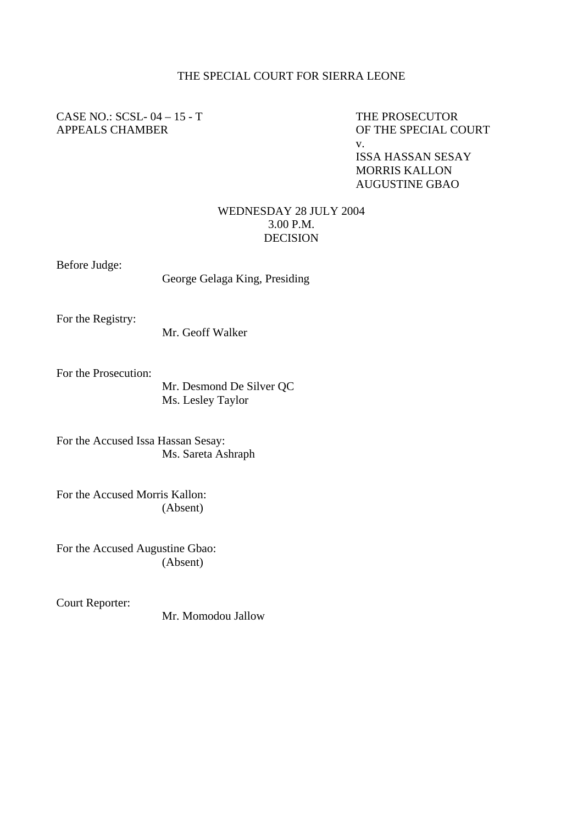## THE SPECIAL COURT FOR SIERRA LEONE

## CASE NO.: SCSL-04 – 15 - T THE PROSECUTOR APPEALS CHAMBER OF THE SPECIAL COURT

v.

ISSA HASSAN SESAY MORRIS KALLON AUGUSTINE GBAO

## WEDNESDAY 28 JULY 2004 3.00 P.M. DECISION

Before Judge:

George Gelaga King, Presiding

For the Registry:

Mr. Geoff Walker

For the Prosecution:

Mr. Desmond De Silver QC Ms. Lesley Taylor

For the Accused Issa Hassan Sesay: Ms. Sareta Ashraph

For the Accused Morris Kallon: (Absent)

For the Accused Augustine Gbao: (Absent)

Court Reporter:

Mr. Momodou Jallow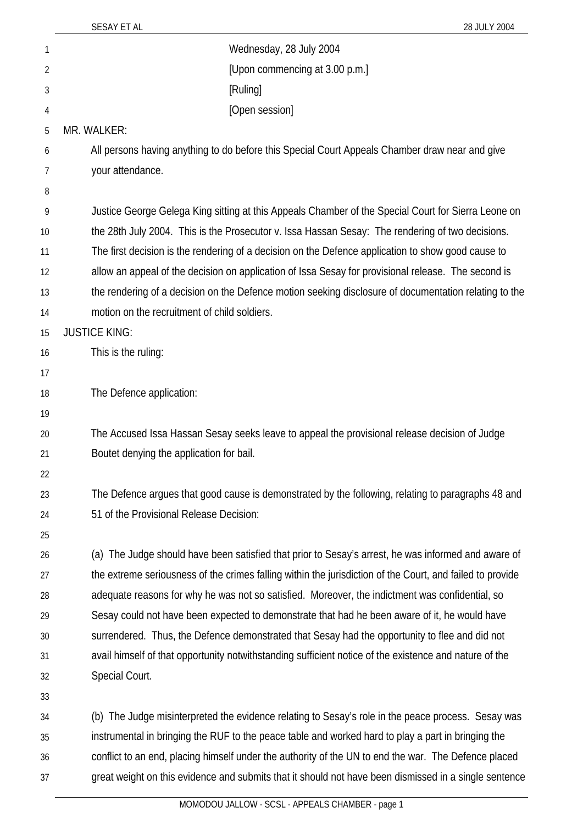| 1              | Wednesday, 28 July 2004                                                                                   |
|----------------|-----------------------------------------------------------------------------------------------------------|
| $\overline{2}$ | [Upon commencing at 3.00 p.m.]                                                                            |
| 3              | [Ruling]                                                                                                  |
| 4              | [Open session]                                                                                            |
| 5              | MR. WALKER:                                                                                               |
| 6              | All persons having anything to do before this Special Court Appeals Chamber draw near and give            |
| 7              | your attendance.                                                                                          |
| 8              |                                                                                                           |
| 9              | Justice George Gelega King sitting at this Appeals Chamber of the Special Court for Sierra Leone on       |
| 10             | the 28th July 2004. This is the Prosecutor v. Issa Hassan Sesay: The rendering of two decisions.          |
| 11             | The first decision is the rendering of a decision on the Defence application to show good cause to        |
| 12             | allow an appeal of the decision on application of Issa Sesay for provisional release. The second is       |
| 13             | the rendering of a decision on the Defence motion seeking disclosure of documentation relating to the     |
| 14             | motion on the recruitment of child soldiers.                                                              |
| 15             | <b>JUSTICE KING:</b>                                                                                      |
| 16             | This is the ruling:                                                                                       |
| 17             |                                                                                                           |
| 18             | The Defence application:                                                                                  |
| 19             |                                                                                                           |
| 20             | The Accused Issa Hassan Sesay seeks leave to appeal the provisional release decision of Judge             |
| 21             | Boutet denying the application for bail.                                                                  |
| 22<br>23       | The Defence argues that good cause is demonstrated by the following, relating to paragraphs 48 and        |
| 24             | 51 of the Provisional Release Decision:                                                                   |
| 25             |                                                                                                           |
| 26             | (a) The Judge should have been satisfied that prior to Sesay's arrest, he was informed and aware of       |
| 27             | the extreme seriousness of the crimes falling within the jurisdiction of the Court, and failed to provide |
| 28             | adequate reasons for why he was not so satisfied. Moreover, the indictment was confidential, so           |
| 29             | Sesay could not have been expected to demonstrate that had he been aware of it, he would have             |
| 30             | surrendered. Thus, the Defence demonstrated that Sesay had the opportunity to flee and did not            |
| 31             | avail himself of that opportunity notwithstanding sufficient notice of the existence and nature of the    |
| 32             | Special Court.                                                                                            |
| 33             |                                                                                                           |
| 34             | (b) The Judge misinterpreted the evidence relating to Sesay's role in the peace process. Sesay was        |
| 35             | instrumental in bringing the RUF to the peace table and worked hard to play a part in bringing the        |
| 36             | conflict to an end, placing himself under the authority of the UN to end the war. The Defence placed      |
| 37             | great weight on this evidence and submits that it should not have been dismissed in a single sentence     |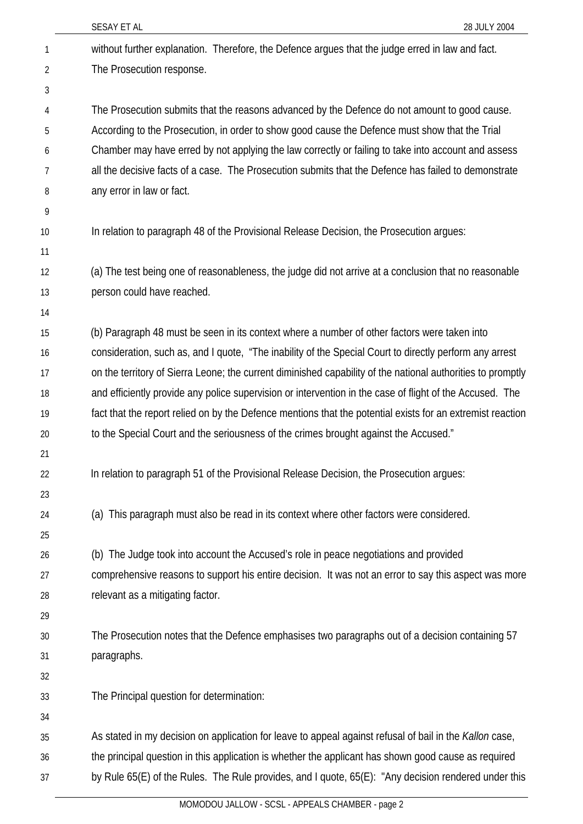|              | SESAY ET AL<br>28 JULY 2004                                                                                 |
|--------------|-------------------------------------------------------------------------------------------------------------|
| $\mathbf{1}$ | without further explanation. Therefore, the Defence argues that the judge erred in law and fact.            |
| 2            | The Prosecution response.                                                                                   |
| 3            |                                                                                                             |
| 4            | The Prosecution submits that the reasons advanced by the Defence do not amount to good cause.               |
| 5            | According to the Prosecution, in order to show good cause the Defence must show that the Trial              |
| 6            | Chamber may have erred by not applying the law correctly or failing to take into account and assess         |
| 7            | all the decisive facts of a case. The Prosecution submits that the Defence has failed to demonstrate        |
| 8            | any error in law or fact.                                                                                   |
| 9            |                                                                                                             |
| 10           | In relation to paragraph 48 of the Provisional Release Decision, the Prosecution argues:                    |
| 11           |                                                                                                             |
| 12           | (a) The test being one of reasonableness, the judge did not arrive at a conclusion that no reasonable       |
| 13           | person could have reached.                                                                                  |
| 14           |                                                                                                             |
| 15           | (b) Paragraph 48 must be seen in its context where a number of other factors were taken into                |
| 16           | consideration, such as, and I quote, "The inability of the Special Court to directly perform any arrest     |
| 17           | on the territory of Sierra Leone; the current diminished capability of the national authorities to promptly |
| 18           | and efficiently provide any police supervision or intervention in the case of flight of the Accused. The    |
| 19           | fact that the report relied on by the Defence mentions that the potential exists for an extremist reaction  |
| 20           | to the Special Court and the seriousness of the crimes brought against the Accused."                        |
| 21           |                                                                                                             |
| 22           | In relation to paragraph 51 of the Provisional Release Decision, the Prosecution argues:                    |
| 23           |                                                                                                             |
| 24           | (a) This paragraph must also be read in its context where other factors were considered.                    |
| 25           |                                                                                                             |
| 26           | (b) The Judge took into account the Accused's role in peace negotiations and provided                       |
| 27           | comprehensive reasons to support his entire decision. It was not an error to say this aspect was more       |
| 28           | relevant as a mitigating factor.                                                                            |
| 29           |                                                                                                             |
| 30           | The Prosecution notes that the Defence emphasises two paragraphs out of a decision containing 57            |
| 31           | paragraphs.                                                                                                 |
| 32           |                                                                                                             |
| 33           | The Principal question for determination:                                                                   |
| 34           |                                                                                                             |
| 35           | As stated in my decision on application for leave to appeal against refusal of bail in the Kallon case,     |
| 36           | the principal question in this application is whether the applicant has shown good cause as required        |
| 37           | by Rule 65(E) of the Rules. The Rule provides, and I quote, 65(E): "Any decision rendered under this        |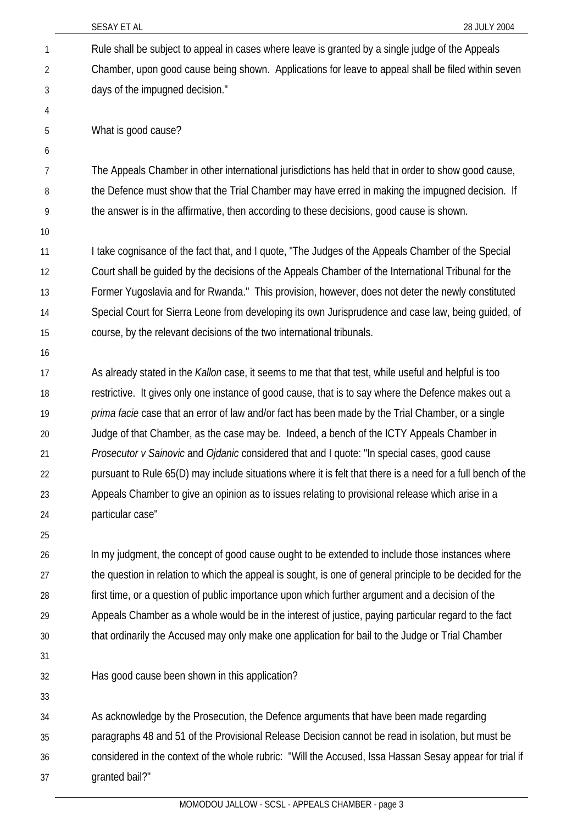|    | SESAY ET AL<br>28 JULY 2004                                                                                 |
|----|-------------------------------------------------------------------------------------------------------------|
| 1  | Rule shall be subject to appeal in cases where leave is granted by a single judge of the Appeals            |
| 2  | Chamber, upon good cause being shown. Applications for leave to appeal shall be filed within seven          |
| 3  | days of the impugned decision."                                                                             |
| 4  |                                                                                                             |
| 5  | What is good cause?                                                                                         |
| 6  |                                                                                                             |
| 7  | The Appeals Chamber in other international jurisdictions has held that in order to show good cause,         |
| 8  | the Defence must show that the Trial Chamber may have erred in making the impugned decision. If             |
| 9  | the answer is in the affirmative, then according to these decisions, good cause is shown.                   |
| 10 |                                                                                                             |
| 11 | I take cognisance of the fact that, and I quote, "The Judges of the Appeals Chamber of the Special          |
| 12 | Court shall be guided by the decisions of the Appeals Chamber of the International Tribunal for the         |
| 13 | Former Yugoslavia and for Rwanda." This provision, however, does not deter the newly constituted            |
| 14 | Special Court for Sierra Leone from developing its own Jurisprudence and case law, being guided, of         |
| 15 | course, by the relevant decisions of the two international tribunals.                                       |
| 16 |                                                                                                             |
| 17 | As already stated in the Kallon case, it seems to me that that test, while useful and helpful is too        |
| 18 | restrictive. It gives only one instance of good cause, that is to say where the Defence makes out a         |
| 19 | prima facie case that an error of law and/or fact has been made by the Trial Chamber, or a single           |
| 20 | Judge of that Chamber, as the case may be. Indeed, a bench of the ICTY Appeals Chamber in                   |
| 21 | Prosecutor v Sainovic and Ojdanic considered that and I quote: "In special cases, good cause                |
| 22 | pursuant to Rule 65(D) may include situations where it is felt that there is a need for a full bench of the |
| 23 | Appeals Chamber to give an opinion as to issues relating to provisional release which arise in a            |
| 24 | particular case"                                                                                            |
| 25 |                                                                                                             |
| 26 | In my judgment, the concept of good cause ought to be extended to include those instances where             |
| 27 | the question in relation to which the appeal is sought, is one of general principle to be decided for the   |
| 28 | first time, or a question of public importance upon which further argument and a decision of the            |

- 29 30
- 31 32

Has good cause been shown in this application?

33

34 35 36 37 As acknowledge by the Prosecution, the Defence arguments that have been made regarding paragraphs 48 and 51 of the Provisional Release Decision cannot be read in isolation, but must be considered in the context of the whole rubric: "Will the Accused, Issa Hassan Sesay appear for trial if granted bail?"

Appeals Chamber as a whole would be in the interest of justice, paying particular regard to the fact

that ordinarily the Accused may only make one application for bail to the Judge or Trial Chamber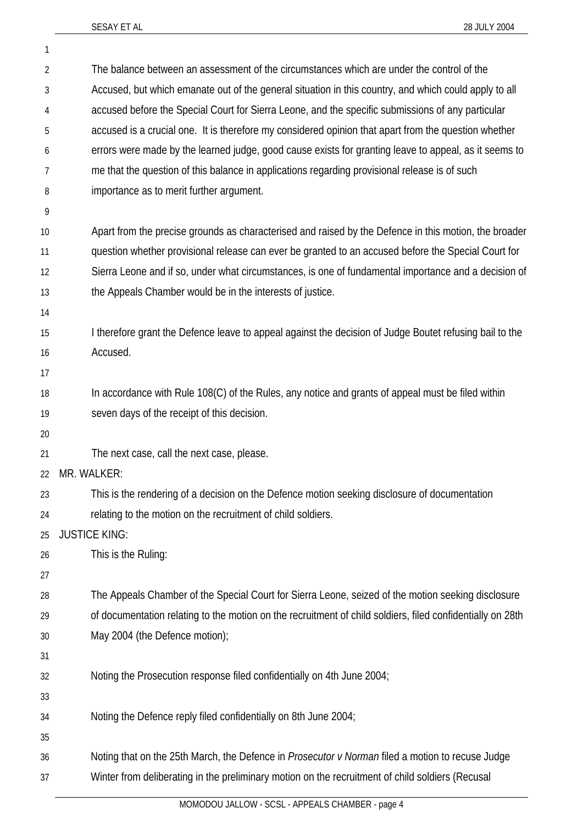1

| $\overline{2}$ | The balance between an assessment of the circumstances which are under the control of the                  |
|----------------|------------------------------------------------------------------------------------------------------------|
| 3              | Accused, but which emanate out of the general situation in this country, and which could apply to all      |
| 4              | accused before the Special Court for Sierra Leone, and the specific submissions of any particular          |
| 5              | accused is a crucial one. It is therefore my considered opinion that apart from the question whether       |
| 6              | errors were made by the learned judge, good cause exists for granting leave to appeal, as it seems to      |
| 7              | me that the question of this balance in applications regarding provisional release is of such              |
| 8              | importance as to merit further argument.                                                                   |
| 9              |                                                                                                            |
| 10             | Apart from the precise grounds as characterised and raised by the Defence in this motion, the broader      |
| 11             | question whether provisional release can ever be granted to an accused before the Special Court for        |
| 12             | Sierra Leone and if so, under what circumstances, is one of fundamental importance and a decision of       |
| 13             | the Appeals Chamber would be in the interests of justice.                                                  |
| 14             |                                                                                                            |
| 15             | I therefore grant the Defence leave to appeal against the decision of Judge Boutet refusing bail to the    |
| 16             | Accused.                                                                                                   |
| 17             |                                                                                                            |
| 18             | In accordance with Rule 108(C) of the Rules, any notice and grants of appeal must be filed within          |
| 19             | seven days of the receipt of this decision.                                                                |
| 20             |                                                                                                            |
| 21             | The next case, call the next case, please.                                                                 |
| 22             | MR. WALKER:                                                                                                |
| 23             | This is the rendering of a decision on the Defence motion seeking disclosure of documentation              |
| 24             | relating to the motion on the recruitment of child soldiers.                                               |
| 25             | <b>JUSTICE KING:</b>                                                                                       |
| 26             | This is the Ruling:                                                                                        |
| 27             |                                                                                                            |
| 28             | The Appeals Chamber of the Special Court for Sierra Leone, seized of the motion seeking disclosure         |
| 29             | of documentation relating to the motion on the recruitment of child soldiers, filed confidentially on 28th |
| 30             | May 2004 (the Defence motion);                                                                             |
| 31             |                                                                                                            |
| 32             | Noting the Prosecution response filed confidentially on 4th June 2004;                                     |
| 33             |                                                                                                            |
| 34             | Noting the Defence reply filed confidentially on 8th June 2004;                                            |
| 35             |                                                                                                            |
| 36             | Noting that on the 25th March, the Defence in Prosecutor v Norman filed a motion to recuse Judge           |
| 37             | Winter from deliberating in the preliminary motion on the recruitment of child soldiers (Recusal           |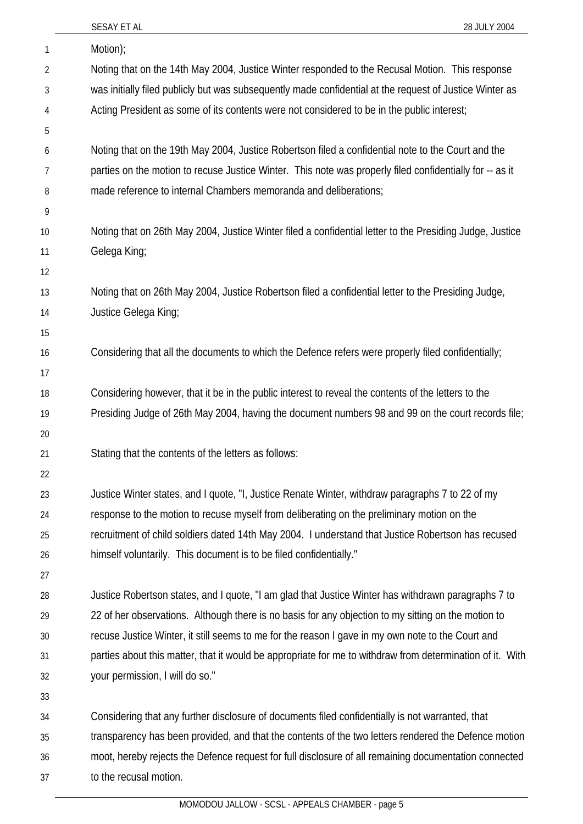|    | SESAY ET AL<br>28 JULY 2004                                                                               |
|----|-----------------------------------------------------------------------------------------------------------|
| 1  | Motion);                                                                                                  |
| 2  | Noting that on the 14th May 2004, Justice Winter responded to the Recusal Motion. This response           |
| 3  | was initially filed publicly but was subsequently made confidential at the request of Justice Winter as   |
| 4  | Acting President as some of its contents were not considered to be in the public interest;                |
| 5  |                                                                                                           |
| 6  | Noting that on the 19th May 2004, Justice Robertson filed a confidential note to the Court and the        |
| 7  | parties on the motion to recuse Justice Winter. This note was properly filed confidentially for -- as it  |
| 8  | made reference to internal Chambers memoranda and deliberations;                                          |
| 9  |                                                                                                           |
| 10 | Noting that on 26th May 2004, Justice Winter filed a confidential letter to the Presiding Judge, Justice  |
| 11 | Gelega King;                                                                                              |
| 12 |                                                                                                           |
| 13 | Noting that on 26th May 2004, Justice Robertson filed a confidential letter to the Presiding Judge,       |
| 14 | Justice Gelega King;                                                                                      |
| 15 |                                                                                                           |
| 16 | Considering that all the documents to which the Defence refers were properly filed confidentially;        |
| 17 |                                                                                                           |
| 18 | Considering however, that it be in the public interest to reveal the contents of the letters to the       |
| 19 | Presiding Judge of 26th May 2004, having the document numbers 98 and 99 on the court records file;        |
| 20 |                                                                                                           |
| 21 | Stating that the contents of the letters as follows:                                                      |
| 22 |                                                                                                           |
| 23 | Justice Winter states, and I quote, "I, Justice Renate Winter, withdraw paragraphs 7 to 22 of my          |
| 24 | response to the motion to recuse myself from deliberating on the preliminary motion on the                |
| 25 | recruitment of child soldiers dated 14th May 2004. I understand that Justice Robertson has recused        |
| 26 | himself voluntarily. This document is to be filed confidentially."                                        |
| 27 |                                                                                                           |
| 28 | Justice Robertson states, and I quote, "I am glad that Justice Winter has withdrawn paragraphs 7 to       |
| 29 | 22 of her observations. Although there is no basis for any objection to my sitting on the motion to       |
| 30 | recuse Justice Winter, it still seems to me for the reason I gave in my own note to the Court and         |
| 31 | parties about this matter, that it would be appropriate for me to withdraw from determination of it. With |
| 32 | your permission, I will do so."                                                                           |
| 33 |                                                                                                           |
| 34 | Considering that any further disclosure of documents filed confidentially is not warranted, that          |
| 35 | transparency has been provided, and that the contents of the two letters rendered the Defence motion      |
| 36 | moot, hereby rejects the Defence request for full disclosure of all remaining documentation connected     |
| 37 | to the recusal motion.                                                                                    |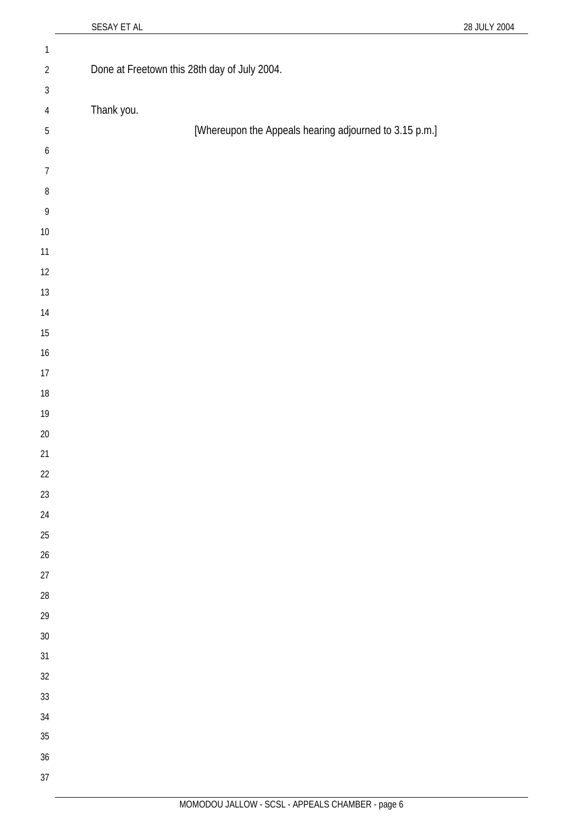| $\mathbbm{1}$    |                                                        |
|------------------|--------------------------------------------------------|
| $\overline{2}$   | Done at Freetown this 28th day of July 2004.           |
| $\sqrt{3}$       |                                                        |
| $\sqrt{4}$       | Thank you.                                             |
| $\sqrt{5}$       | [Whereupon the Appeals hearing adjourned to 3.15 p.m.] |
| $\boldsymbol{6}$ |                                                        |
| $\overline{7}$   |                                                        |
| $\, 8$           |                                                        |
| 9                |                                                        |
| $10\,$           |                                                        |
| 11               |                                                        |
| 12               |                                                        |
| 13               |                                                        |
| 14               |                                                        |
| $15\,$           |                                                        |
| $16\,$           |                                                        |
| $17\,$           |                                                        |
| $18\,$           |                                                        |
| $19$             |                                                        |
| $20\,$           |                                                        |
| 21               |                                                        |
| 22               |                                                        |
| 23               |                                                        |
| 24               |                                                        |
| 25               |                                                        |
| 26               |                                                        |
| 27               |                                                        |
| 28               |                                                        |
| 29               |                                                        |
| $30\,$           |                                                        |
| 31               |                                                        |
| 32               |                                                        |
| 33               |                                                        |
| 34               |                                                        |
| 35               |                                                        |
| 36               |                                                        |
| 37               |                                                        |